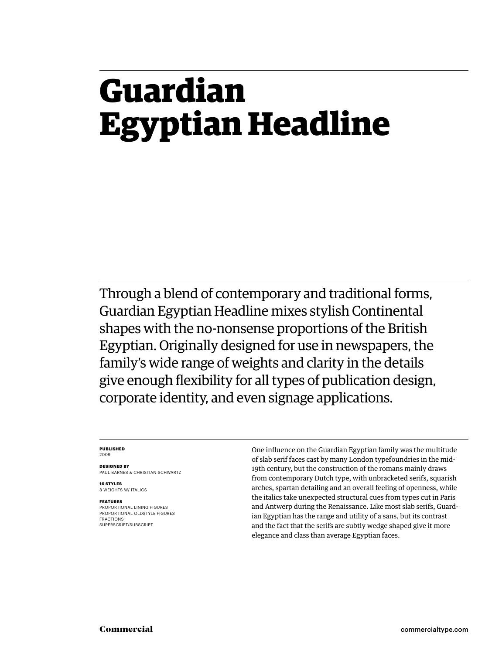### **Guardian Egyptian Headline**

Through a blend of contemporary and traditional forms, Guardian Egyptian Headline mixes stylish Continental shapes with the no-nonsense proportions of the British Egyptian. Originally designed for use in newspapers, the family's wide range of weights and clarity in the details give enough flexibility for all types of publication design, corporate identity, and even signage applications.

### **PUBLISHED** 2009

**DESIGNED BY** PAUL BARNES & CHRISTIAN SCHWARTZ

**16 STYLES** 8 WEIGHTS W/ ITALICS

### **FEATURES**

PROPORTIONAL LINING FIGURES PROPORTIONAL OLDSTYLE FIGURES FRACTIONS SUPERSCRIPT/SUBSCRIPT

One influence on the Guardian Egyptian family was the multitude of slab serif faces cast by many London typefoundries in the mid-19th century, but the construction of the romans mainly draws from contemporary Dutch type, with unbracketed serifs, squarish arches, spartan detailing and an overall feeling of openness, while the italics take unexpected structural cues from types cut in Paris and Antwerp during the Renaissance. Like most slab serifs, Guardian Egyptian has the range and utility of a sans, but its contrast and the fact that the serifs are subtly wedge shaped give it more elegance and class than average Egyptian faces.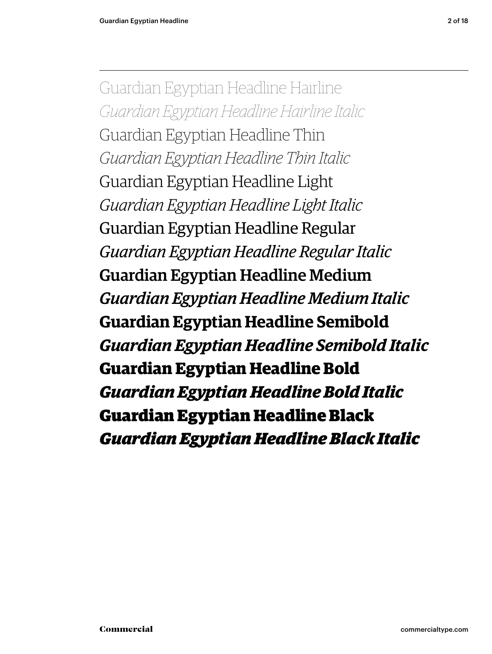Guardian Egyptian Headline Hairline *Guardian Egy ptian Headline Hairline Italic* Guardian Egyptian Headline Thin *Guardian Egy ptian Headline Thin Italic* Guardian Egyptian Headline Light *Guardian Egy ptian Headline Light Italic* Guardian Egyptian Headline Regular *Guardian Egy ptian Headline Regular Italic* Guardian Egyptian Headline Medium *Guardian Egy ptian Headline Medium Italic* **Guardian Egyptian Headline Semibold** *Guardian Egy ptian Headline Semibold Italic* **Guardian Egyptian Headline Bold** *Guardian Egy ptian Headline Bold Italic* Guardian Egyptian Headline Black *Guardian Egy ptian Headline Black Italic*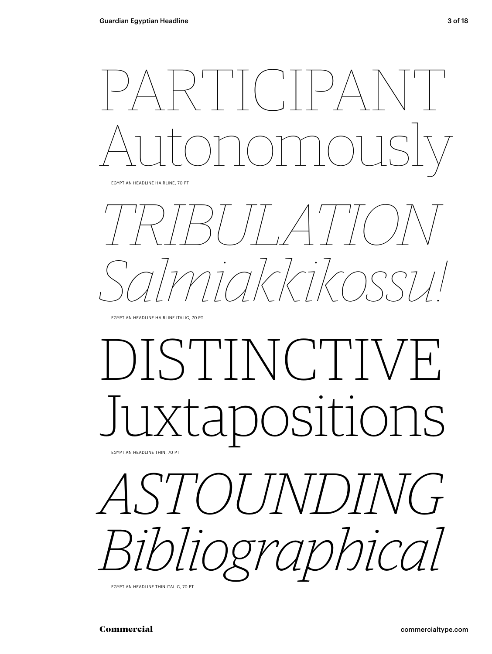$\left[\begin{array}{c} \lambda \\ \lambda \end{array}\right]^{-1}\left[\begin{array}{c} \begin{array}{c} \lambda \\ \lambda \end{array}\right]^{-1}\left[\begin{array}{c} \lambda \\ \lambda \end{array}\right]^{-1}\left[\begin{array}{c} \lambda \\ \lambda \end{array}\right]^{-1}\left[\begin{array}{c} \lambda \\ \lambda \end{array}\right]^{-1}$ Autonomously

EGYPTIAN HEADLINE HAIRLINE, 70 PT

*TRIBULATION Salmiakkikossu!*

EGYPTIAN HEADLINE HAIRLINE ITALIC, 70 PT

### DISTINCTIVE positions EGYPTIAN HEADLINE THIN, 70 PT

*ASTOUNDING Bibliographical*

EGYPTIAN HEADLINE THIN ITALIC, 70 PT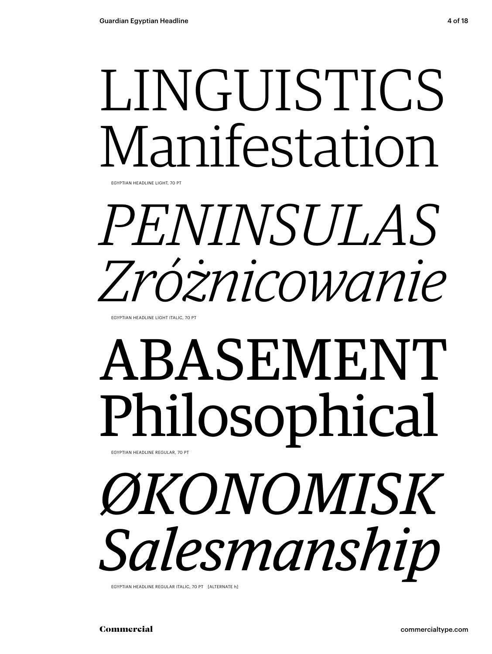## LINGUISTICS Manifestation

EGYPTIAN HEADLINE LIGHT, 70 PT

## *PENINSULAS Zróżnicowanie*

EGYPTIAN HEADLINE LIGHT ITALIC, 70 PT

### ABASEMENT Philosophical EGYPTIAN HEADLINE REGULAR, 70 PT

*ØKONOMISK Salesmanship*

EGYPTIAN HEADLINE REGULAR ITALIC, 70 PT [ALTERNATE h]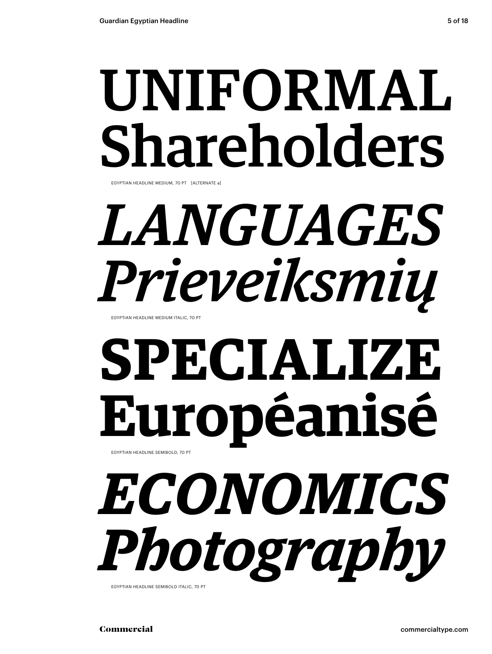## UNIFORMAL Shareholders

EGYPTIAN HEADLINE MEDIUM, 70 PT [ALTERNATE a]

## *LANGUAGES Prieveiksmių*

EGYPTIAN HEADLINE MEDIUM ITALIC, 70 PT

## **SPECIALIZE Européanisé** EGYPTIAN HEADLINE SEMIBOLD, 70 PT

# *ECONOMICS Photography*

EGYPTIAN HEADLINE SEMIBOLD ITALIC, 70 PT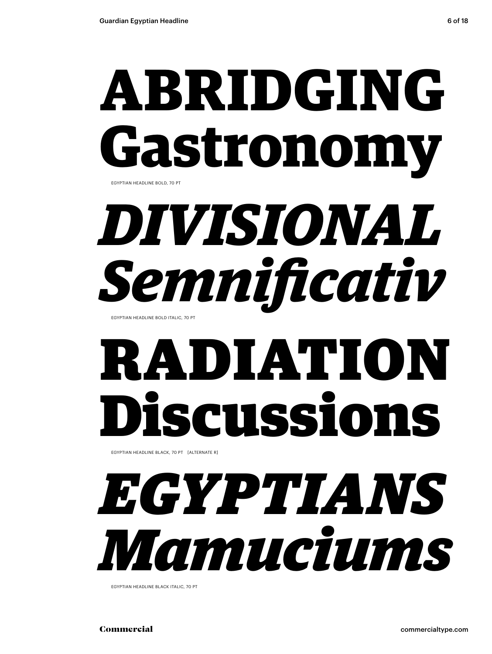### **ABRIDGING Gastronomy** EGYPTIAN HEADLINE BOLD, 70 PT

*DIVISIONAL Semnifi cativ*

EGYPTIAN HEADLINE BOLD ITALIC, 70 PT

## RADIATION Discussions

EGYPTIAN HEADLINE BLACK, 70 PT [ALTERNATE R]

## *EGYPTIANS Mamuciums*

EGYPTIAN HEADLINE BLACK ITALIC, 70 PT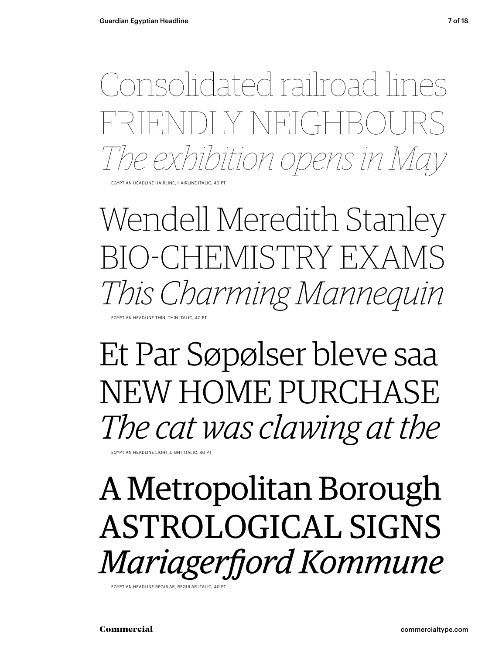Consolidated railroad lines FNDLY NEIGHBO *The exhibition opens in May*

EGYPTIAN HEADLINE HAIRLINE, HAIRLINE ITALIC, 40 PT

Wendell Meredith Stanley BIO-CHEMISTRY EXAMS *This Charming Mannequin* EGYPTIAN HEADLINE THIN, THIN ITALIC, 40 PT

Et Par Søpølser bleve saa NEW HOME PURCHASE *The cat was clawing at the*

EGYPTIAN HEADLINE LIGHT, LIGHT ITALIC, 40 PT

A Metropolitan Borough ASTROLOGICAL SIGNS *Mariagerfjord Kommune* 

EGYPTIAN HEADLINE REGULAR, REGULAR ITALIC, 40 PT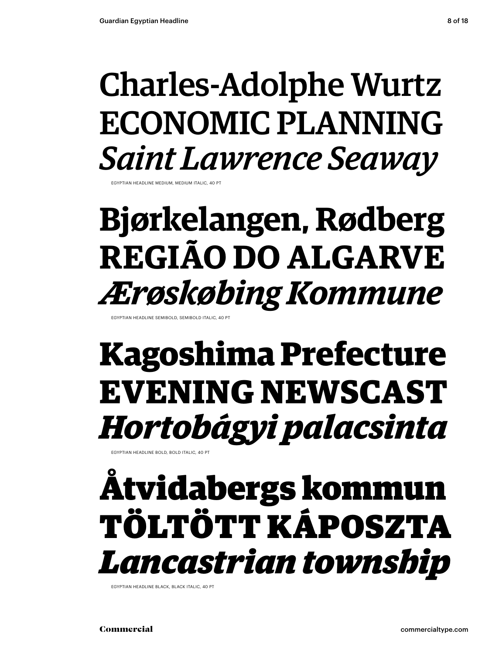### Charles-Adolphe Wurtz ECONOMIC PLANNING *Saint Lawrence Seaway*

**EXPTIAN HEADLINE MEDIUM, MEDIUM ITALIC,** 

### **Bjørkelangen, Rødberg REGIÃO DO ALGARVE** *Ærøskøbing Kommune*

EGYPTIAN HEADLINE SEMIBOLD, SEMIBOLD ITALIC, 40

### **Kagoshima Prefecture EVENING NEWSCAST** *Hortobágy i palacsinta*

EGYPTIAN HEADLINE BOLD, BOLD ITALIC, 40 PT

### Åtvidabergs kommun TÖLTÖTT KÁPOSZTA *Lancastrian township*

EGYPTIAN HEADLINE BLACK, BLACK ITALIC, 40 PT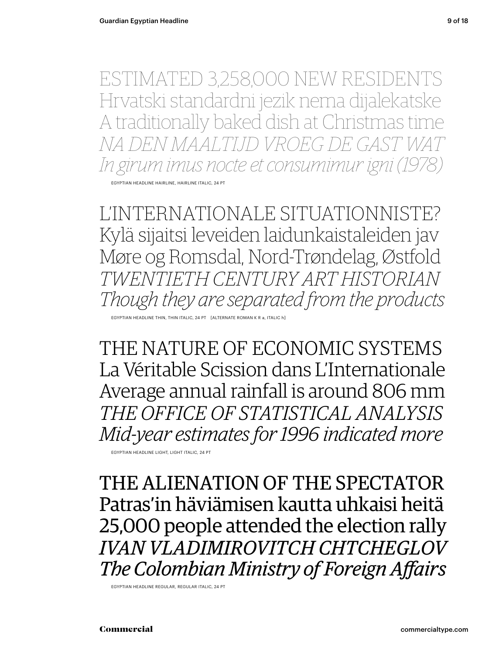ESTIMATED 3,258,000 NEW RESIDENTS Hrvatski standardni jezik nema dijalekatske A traditionally baked dish at Christmas time *NA DEN MAALTIJD VROEG DE GAST In girum imus nocte et consumimur igni (1978)*

EGYPTIAN HEADLINE HAIRLINE, HAIRLINE ITALIC, 24 PT

L'INTERNATIONALE SITUATIONNISTE? Kylä sijaitsi leveiden laidunkaistaleiden jav Møre og Romsdal, Nord-Trøndelag, Østfold *TWENTIETH CENTURY ART HISTORIAN Though they are separated from the products* 

EGYPTIAN HEADLINE THIN, THIN ITALIC, 24 PT [ALTERNATE ROMAN K R a, ITALIC h]

THE NATURE OF ECONOMIC SYSTEMS La Véritable Scission dans L'Internationale Average annual rainfall is around 806 mm *THE OFFICE OF STATISTICAL ANALYSIS Mid-year estimates for 1996 indicated more*

EGYPTIAN HEADLINE LIGHT, LIGHT ITALIC, 24 PT

THE ALIENATION OF THE SPECTATOR Patras'in häviämisen kautta uhkaisi heitä 25,000 people attended the election rally *IVAN VLADIMIROVITCH CHTCHEGLOV* **The Colombian Ministry of Foreign Affairs** 

EGYPTIAN HEADLINE REGULAR, REGULAR ITALIC, 24 PT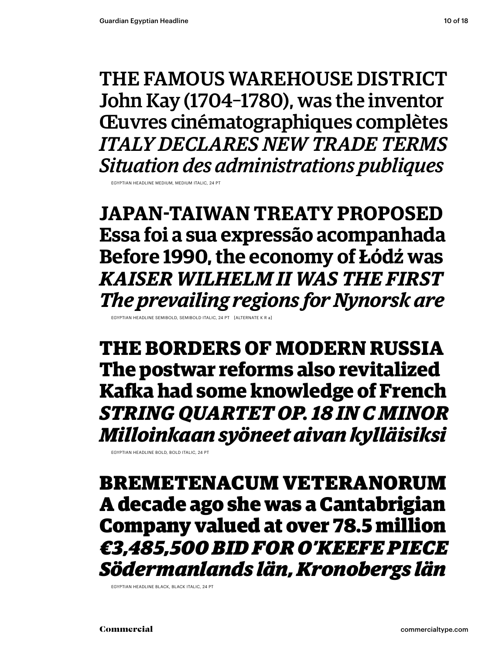THE FAMOUS WAREHOUSE DISTRICT John Kay (1704–1780), was the inventor Œuvres cinématographiques complètes *ITALY DECLARES NEW TRADE TERMS Situation des administrations publiques*

EGYPTIAN HEADLINE MEDIUM, MEDIUM ITA

**JAPAN-TAIWAN TREATY PROPOSED Essa foi a sua expressão acompanhada Before 1990, the economy of Łódź was** *KAISER WILHELM II WAS THE FIRST The prevailing regions for Nynorsk are*

EGYPTIAN HEADLINE SEMIBOLD, SEMIBOLD ITALIC, 24 PT [ALTERNATE K R a]

**THE BORDERS OF MODERN RUSSIA The postwar reforms also revitalized Kafka had some knowledge of French** *STRING QUARTET OP. 18 IN C MINOR Milloinkaan syöneet aivan kylläisiksi*

EGYPTIAN HEADLINE BOLD, BOLD ITALIC, 24 PT

BREMETENACUM VETERANORUM A decade ago she was a Cantabrigian Company valued at over 78.5 million *€3,485,500 BID FOR O'KEEFE PIECE Södermanlands län, Kronobergs län*

EGYPTIAN HEADLINE BLACK, BLACK ITALIC, 24 PT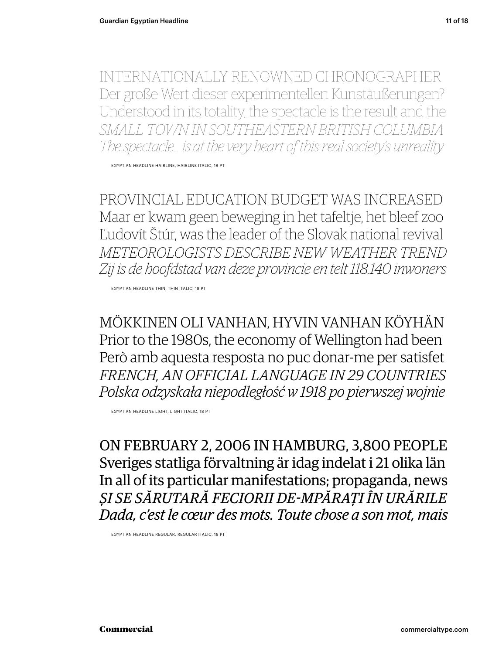INTERNATIONALLY RENOWNED CHRONOGRAPHER Der große Wert dieser experimentellen Kunstäußerungen? Understood in its totality, the spectacle is the result and the *SMALL TOWN IN SOUTHEASTERN BRITISH COLUMBIA The spectacle… is at the very heart of this real society's unreality*

EGYPTIAN HEADLINE HAIRLINE, HAIRLINE ITALIC, 18 PT

PROVINCIAL EDUCATION BUDGET WAS INCREASED Maar er kwam geen beweging in het tafeltje, het bleef zoo Ľudovít Štúr, was the leader of the Slovak national revival *METEOROLOGISTS DESCRIBE NEW WEATHER TREND Zij is de hoofdstad van deze provincie en telt 118.140 inwoners*

EGYPTIAN HEADLINE THIN, THIN ITALIC, 18 PT

MÖKKINEN OLI VANHAN, HYVIN VANHAN KÖYHÄN Prior to the 1980s, the economy of Wellington had been Però amb aquesta resposta no puc donar-me per satisfet *FRENCH, AN OFFICIAL LANGUAGE IN 29 COUNTRIES Polska odzyskała niepodległość w 1918 po pierwszej wojnie*

EGYPTIAN HEADLINE LIGHT, LIGHT ITALIC, 18 PT

ON FEBRUARY 2, 2006 IN HAMBURG, 3,800 PEOPLE Sveriges statliga förvaltning är idag indelat i 21 olika län In all of its particular manifestations; propaganda, news *ȘI SE SĂRUTARĂ FECIORII DE-MPĂRAŢI ÎN URĂRILE Dada, c'est le cœur des mots. Toute chose a son mot, mais*

EGYPTIAN HEADLINE REGULAR, REGULAR ITALIC, 18 PT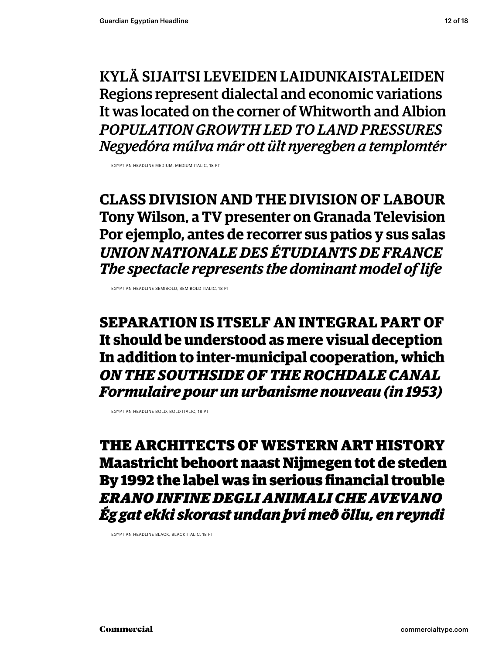KYLÄ SIJAITSI LEVEIDEN LAIDUNKAISTALEIDEN Regions represent dialectal and economic variations It was located on the corner of Whitworth and Albion *POPULATION GROWTH LED TO LAND PRESSURES Negy edóra múlva már ott ült nyeregben a templomtér*

EGYPTIAN HEADLINE MEDIUM, MEDIUM ITALIC, 18 PT

**CLASS DIVISION AND THE DIVISION OF LABOUR Tony Wilson, a TV presenter on Granada Television Por ejemplo, antes de recorrer sus patios y sus salas** *UNION NATIONALE DES ÉTUDIANTS DE FRANCE The spectacle represents the dominant model of life*

EGYPTIAN HEADLINE SEMIBOLD, SEMIBOLD ITALIC, 18 PT

**SEPARATION IS ITSELF AN INTEGRAL PART OF It should be understood as mere visual deception In addition to inter-municipal cooperation, which** *ON THE SOUTHSIDE OF THE ROCHDALE CANAL Formulaire pour un urbanisme nouveau (in 1953)*

EGYPTIAN HEADLINE BOLD, BOLD ITALIC, 18 PT

THE ARCHITECTS OF WESTERN ART HISTORY Maastricht behoort naast Nijmegen tot de steden By 1992 the label was in serious financial trouble *ERANO INFINE DEGLI ANIMALI CHE AVEVANO Ég gat ekki skorast undan því með öllu, en reyndi*

EGYPTIAN HEADLINE BLACK, BLACK ITALIC, 18 PT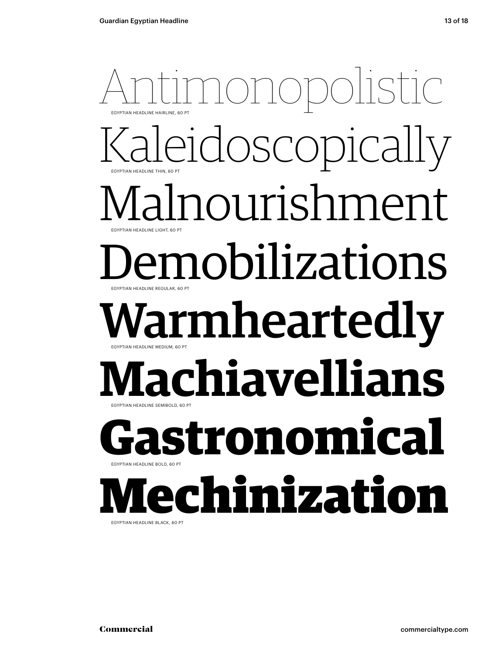### Antic EGYPTIAN HEADLINE THIN, 60 PT EGYPTIAN HEADLINE HAIRLINE, 60 PT leidoscopically Malnourishment EGYPTIAN HEADLINE REGULAR, 60 PT **EXPTIAN HEADLINE LIGHT, 60 PT** emobilizations *l*armheartedly EGYPTIAN HEADLINE SEMIBOLD, 60 PT EGYPTIAN HEADLINE MEDIUM, 60 PT **Machiavellians Gastronomical** EGYPTIAN HEADLINE BOLD, 60 PT Mechinization

EGYPTIAN HEADLINE BLACK, 60 PT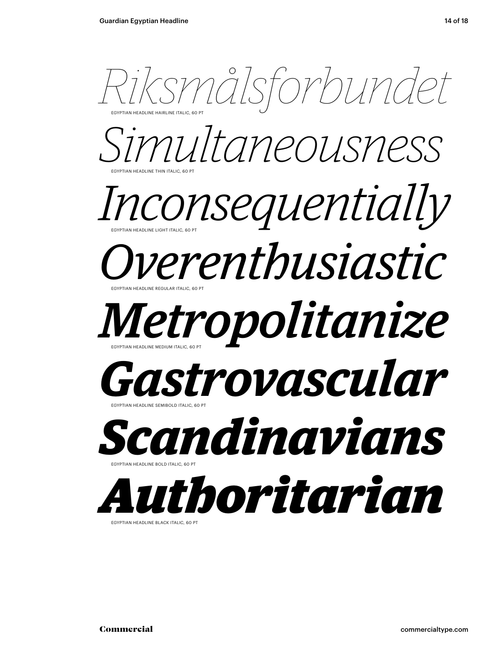

EGYPTIAN HEADLINE BLACK ITALIC, 60 PT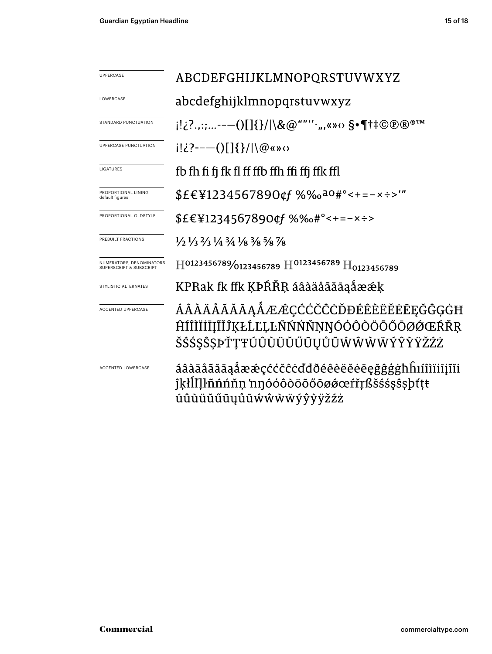| <b>UPPERCASE</b>                                               | ABCDEFGHIJKLMNOPQRSTUVWXYZ                                                                                                    |
|----------------------------------------------------------------|-------------------------------------------------------------------------------------------------------------------------------|
| LOWERCASE                                                      | abcdefghijklmnopqrstuvwxyz                                                                                                    |
| STANDARD PUNCTUATION                                           | i!¿?.,:;--—()[]{}/ \&@""''·",«»⇔ §•¶†‡©®®™                                                                                    |
| UPPERCASE PUNCTUATION                                          | $i! \in \{2, -(-1)\}$ $\{ \} /   \mathcal{Q}$ (s) $\infty$                                                                    |
| LIGATURES                                                      | fb fh fi fi fk fl ff ffb ffh ffi ffj ffk ffl                                                                                  |
| PROPORTIONAL LINING<br>default figures                         | \$£€¥1234567890¢f %‰a0#°<+=-x÷>'"                                                                                             |
| PROPORTIONAL OLDSTYLE                                          | \$£€¥1234567890¢f %‰#°<+=-×÷>                                                                                                 |
| PREBUILT FRACTIONS                                             | $\frac{1}{2}$ $\frac{1}{3}$ $\frac{2}{3}$ $\frac{1}{4}$ $\frac{3}{4}$ $\frac{1}{8}$ $\frac{3}{8}$ $\frac{5}{8}$ $\frac{7}{8}$ |
| NUMERATORS, DENOMINATORS<br><b>SUPERSCRIPT &amp; SUBSCRIPT</b> | $\rm{H}^{0123456789\!/0123456789}$ $\rm{H}^{0123456789}$ $\rm{H}_{0123456789}$                                                |
| STYLISTIC ALTERNATES                                           | KPRak fk ffk KÞŔŘR áâàäåãăāaåææk                                                                                              |
| <b>ACCENTED UPPERCASE</b>                                      | ÁÂÀÄÅÃĂĀĀĄÅÆÆÇĆĆČĈÒĐÉÊÈËËĖĒĘĞĜĢĠĦ<br>ĤÍÎÌÏİĪIĨĬĴĶŁĹĽĻĿÑŃŃŇŅŊÓÓÔŎŎŐŎØØŒŔŘŖ<br>ŠŚŚŞŜȘÞŤŢŦÚÛÙŬŬŰŨŲŮŨŴŴŴŴÝŶŸŽŹŻ                   |
| ACCENTED LOWERCASE                                             | áâàäåãăāaåææçććčĉċďđðéêèëĕėēęğĝġġħhıíîìïiijĩĭi<br>îkłll'llñnnnn nnóóôòöõőōøøœfřŗßšśśşŝşþttt<br>úûùüŭűūyůũẃŵẁẅýŷỳÿžźż          |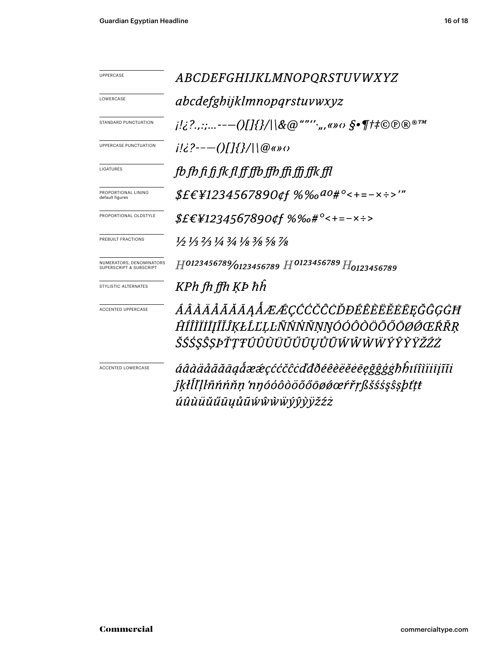| UPPERCASE                                           |                                                                                                                               |
|-----------------------------------------------------|-------------------------------------------------------------------------------------------------------------------------------|
|                                                     | ABCDEFGHIJKLMNOPQRSTUVWXYZ                                                                                                    |
| LOWERCASE                                           | abcdefghijklmnopqrstuvwxyz                                                                                                    |
| STANDARD PUNCTUATION                                | $j!_{\mathcal{L}}$ ?,,:;---()[]{}/ \&@""'',,,«» $\omega$ $S$ •¶#C $\mathcal{D}$ ®™                                            |
| <b>UPPERCASE PUNCTUATION</b>                        | $i!i$ ?---()[]{}/ \@«»0                                                                                                       |
| LIGATURES                                           | fb fb fi fi fk fl ff ffb ffb ffi ffi ffk ffl                                                                                  |
| PROPORTIONAL LINING<br>default figures              | $$EEY1234567890$ of $%$ %0 $a0#$ °<+=-x :->'"                                                                                 |
| PROPORTIONAL OLDSTYLE                               | <i>\$£€¥1234567890¢f %‰#</i> °<+=-×÷>                                                                                         |
| PREBUILT FRACTIONS                                  | $\frac{1}{2}$ $\frac{1}{3}$ $\frac{2}{3}$ $\frac{1}{4}$ $\frac{3}{4}$ $\frac{1}{8}$ $\frac{3}{8}$ $\frac{5}{8}$ $\frac{7}{8}$ |
| NUMERATORS, DENOMINATORS<br>SUPERSCRIPT & SUBSCRIPT | $H^{0123456789}\!/_{0123456789}$ $H^{0123456789}$ $H_{0123456789}$                                                            |
| STYLISTIC ALTERNATES                                | KPh fh ffh KP hh                                                                                                              |
| <b>ACCENTED UPPERCASE</b>                           | ÁÂÀÄÅÃĂĀĄÅÆÆÇĆĆČĊĎĐÉÊÈËĔĒĘĞĜĢĠĦ                                                                                               |
|                                                     | ĤÍÎÌÏİĪJĨĬĴĶŁĹĽĻĿÑŃŃŇŅŊÓÓÔŎÖŐŐŌØŐŒŔŘR                                                                                         |
|                                                     | ŠŚŚ\$\$\$\$PŤŢŦÚÛÙŬŬŬŰŪŲŮŨŴŴŴŴÝŶŶŸŽŹŻ                                                                                         |
| <b>ACCENTED LOWERCASE</b>                           | áâàäåããāąåææçććčĉcďđðéêèëĕēeğĝģġħĥıíîìiiijĩii                                                                                 |
|                                                     | ĵķłĺľḷŀñńńňṇ 'nŋóóôòöõőōøøœŕřṛßšśśşŝṣþťṭŧ                                                                                     |
|                                                     | úûùüŭűūyůũŵŵẁŸýŷỳÿžźż                                                                                                         |
|                                                     |                                                                                                                               |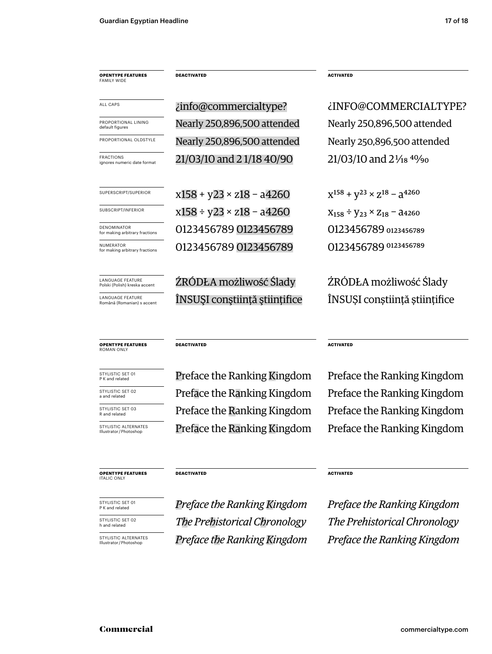**OPENTYPE FEATURES** FAMILY WIDE

**DEACTIVATED ACTIVATED** 

PROPORTIONAL LINING<br>default figures

FRACTIONS<br>ignores numeric date format

**NUMERATOR**<br>for making arbitrary fractions

LANGUAGE FEATURE<br>Polski (Polish) kreska accent

LANGUAGE FEATURE<br>Română (Romanian) s

**OPENTYPE FEATURES** ROMAN ONLY

STYLISTIC SET 01<br>P K and related

STYLISTIC SET 02<br>a and related

STYLISTIC SET 03<br>R and related

STYLISTIC ALTERNATES<br>Illustrator/Photoshop

### **OPENTYPE FEATURES ITALIC ONLY**

STYLISTIC SET 01<br>P K and related

STYLISTIC SET 02<br>h and related

STYLISTIC ALTERNATES<br>Illustrator/Photoshop

Nearly 250,896,500 attended Nearly 250,896,500 attended  $21/03/10$  and  $21/18$  40/90  $21/03/10$  and  $21/18$   $40/90$ PROPORTIONAL OLDSTYLE Nearly 250,896,500 attended Nearly 250,896,500 attended ALL CAPS *info@commercialtype? info@commercialtype i*  $\mathcal{E}$  *info@commercialtype?* 

SUPERSCRIPT/SUPERIOR  $x158 + y23 \times z18 - a4260$   $x^{158} + y^{23} \times z^{18} - a^{4260}$ SUBSCRIPT/INFERIOR  $x158 \div y23 \times z18 - a4260$   $X_{158} \div y_{23} \times z_{18} - a4260$ 0123456789 0123456789 0123456789 0123456789 DENOMINATOR (DENOMINATOR COLORGISTION DENOMINATOR DELS COLORGISTION DELS GREGORE DELS GREGORE DELS GREGORE DEL

ŹRÓDŁA możliwość Ślady kródzka możliwość Ślady <sup>ATURE</sup> (Română secent ÎNSUȘI conștiință științifice ÎNSUȘI conștiință științifice

### **DEACTIVATED** ACTIVATED

Preface the Ranking Kingdom Preface the Ranking Kingdom Preface the Ranking Kingdom Preface the Ranking Kingdom Preface the Ranking Kingdom Preface the Ranking Kingdom Preface the Ranking Kingdom Preface the Ranking Kingdom

### **DEACTIVATED** ACTIVATED

*Preface the Ranking Kingdom Preface the Ranking Kingdom* **The Prehistorical Chronology** The Prehistorical Chronology Illustrator / Photoshop *Preface the Ranking Kingdom Preface the Ranking Kingdom*